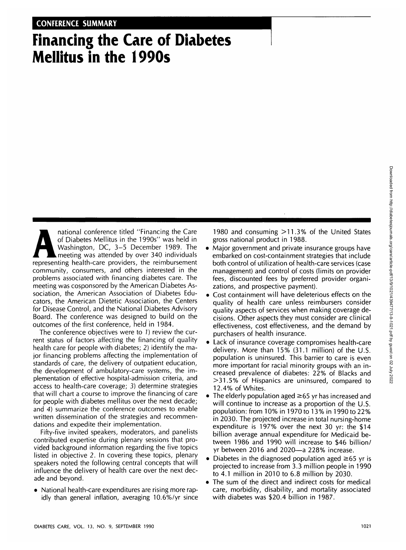# **Financing the Care of Diabetes Mellitus in the 1990s**

national conference titled "Financing the Care<br>of Diabetes Mellitus in the 1990s" was held in<br>Washington, DC, 3–5 December 1989. The<br>meeting was attended by over 340 individuals<br>representing health-care providers, the reim of Diabetes Mellitus in the 1990s" was held in Washington, DC, 3-5 December 1989. The meeting was attended by over 340 individuals representing health-care providers, the reimbursement community, consumers, and others interested in the problems associated with financing diabetes care. The meeting was cosponsored by the American Diabetes Association, the American Association of Diabetes Educators, the American Dietetic Association, the Centers for Disease Control, and the National Diabetes Advisory Board. The conference was designed to build on the outcomes of the first conference, held in 1984.

The conference objectives were to 1) review the current status of factors affecting the financing of quality health care for people with diabetes; 2) identify the major financing problems affecting the implementation of standards of care, the delivery of outpatient education, the development of ambulatory-care systems, the implementation of effective hospital-admission criteria, and access to health-care coverage; 3) determine strategies that will chart a course to improve the financing of care for people with diabetes mellitus over the next decade; and 4) summarize the conference outcomes to enable written dissemination of the strategies and recommendations and expedite their implementation.

Fifty-five invited speakers, moderators, and panelists contributed expertise during plenary sessions that provided background information regarding the five topics listed in objective 2. In covering these topics, plenary speakers noted the following central concepts that will influence the delivery of health care over the next decade and beyond.

• National health-care expenditures are rising more rapidly than general inflation, averaging 10.6%/yr since

1980 and consuming >11.3% of the United States gross national product in 1988.

- Major government and private insurance groups have embarked on cost-containment strategies that include both control of utilization of health-care services (case management) and control of costs (limits on provider fees, discounted fees by preferred provider organizations, and prospective payment).
- Cost containment will have deleterious effects on the quality of health care unless reimbursers consider quality aspects of services when making coverage decisions. Other aspects they must consider are clinical effectiveness, cost effectiveness, and the demand by purchasers of health insurance.
- Lack of insurance coverage compromises health-care delivery. More than 15% (31.1 million) of the U.S. population is uninsured. This barrier to care is even more important for racial minority groups with an increased prevalence of diabetes: 22% of Blacks and >31.5% of Hispanics are uninsured, compared to 12.4% of Whites.
- The elderly population aged  $\geq 65$  yr has increased and will continue to increase as a proportion of the U.S. population: from 10% in 1970 to 13% in 1990 to 22% in 2030. The projected increase in total nursing-home expenditure is 197% over the next 30 yr: the \$14 billion average annual expenditure for Medicaid between 1986 and 1990 will increase to \$46 billion/ yr between 2016 and 2020—a 228% increase.
- Diabetes in the diagnosed population aged  $\geq 65$  yr is projected to increase from 3.3 million people in 1990 to 4.1 million in 2010 to 6.8 million by 2030.
- The sum of the direct and indirect costs for medical care, morbidity, disability, and mortality associated with diabetes was \$20.4 billion in 1987.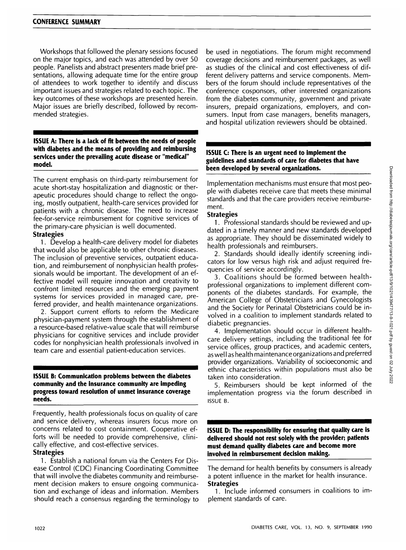Workshops that followed the plenary sessions focused on the major topics, and each was attended by over 50 people. Panelists and abstract presenters made brief presentations, allowing adequate time for the entire group of attendees to work together to identify and discuss important issues and strategies related to each topic. The key outcomes of these workshops are presented herein. Major issues are briefly described, followed by recommended strategies.

**ISSUE A: There is a lack of fit between the needs of people with diabetes and the means of providing and reimbursing services under the prevailing acute disease or "medical" model.**

The current emphasis on third-party reimbursement for acute short-stay hospitalization and diagnostic or therapeutic procedures should change to reflect the ongoing, mostly outpatient, health-care services provided for patients with a chronic disease. The need to increase fee-for-service reimbursement for cognitive services of the primary-care physician is well documented.

## **Strategies**

1. Develop a health-care delivery model for diabetes that would also be applicable to other chronic diseases. The inclusion of preventive services, outpatient education, and reimbursement of nonphysician health professionals would be important. The development of an effective model will require innovation and creativity to confront limited resources and the emerging payment systems for services provided in managed care, preferred provider, and health maintenance organizations.

2. Support current efforts to reform the Medicare physician-payment system through the establishment of a resource-based relative-value scale that will reimburse physicians for cognitive services and include provider codes for nonphysician health professionals involved in team care and essential patient-education services.

#### **ISSUE B: Communication problems between the diabetes community and the insurance community are impeding progress toward resolution of unmet insurance coverage needs.**

Frequently, health professionals focus on quality of care and service delivery, whereas insurers focus more on concerns related to cost containment. Cooperative efforts will be needed to provide comprehensive, clinically effective, and cost-effective services.

## **Strategies**

1. Establish a national forum via the Centers For Disease Control (CDC) Financing Coordinating Committee that will involve the diabetes community and reimbursement decision makers to ensure ongoing communication and exchange of ideas and information. Members should reach a consensus regarding the terminology to be used in negotiations. The forum might recommend coverage decisions and reimbursement packages, as well as studies of the clinical and cost effectiveness of different delivery patterns and service components. Members of the forum should include representatives of the conference cosponsors, other interested organizations from the diabetes community, government and private insurers, prepaid organizations, employers, and consumers. Input from case managers, benefits managers, and hospital utilization reviewers should be obtained.

#### **ISSUE C: There is an urgent need to implement the guidelines and standards of care for diabetes that have been developed by several organizations.**

Implementation mechanisms must ensure that most people with diabetes receive care that meets these minimal standards and that the care providers receive reimbursement.

### **Strategies**

1. Professional standards should be reviewed and updated in a timely manner and new standards developed as appropriate. They should be disseminated widely to health professionals and reimbursers.

2. Standards should ideally identify screening indicators for low versus high risk and adjust required frequencies of service accordingly.

3. Coalitions should be formed between healthprofessional organizations to implement different components of the diabetes standards. For example, the American College of Obstetricians and Gynecologists and the Society for Perinatal Obstetricians could be involved in a coalition to implement standards related to diabetic pregnancies.

4. Implementation should occur in different healthcare delivery settings, including the traditional fee for service offices, group practices, and academic centers, as well as health maintenanceorganizationsand preferred provider organizations. Variability of socioeconomic and ethnic characteristics within populations must also be taken into consideration.

5. Reimbursers should be kept informed of the implementation progress via the forum described in ISSUE B.

**ISSUE D: The responsibility for ensuring that quality care is delivered should not rest solely with the provider; patients must demand quality diabetes care and become more involved in reimbursement decision making.**

The demand for health benefits by consumers is already a potent influence in the market for health insurance. **Strategies**

1. Include informed consumers in coalitions to implement standards of care.